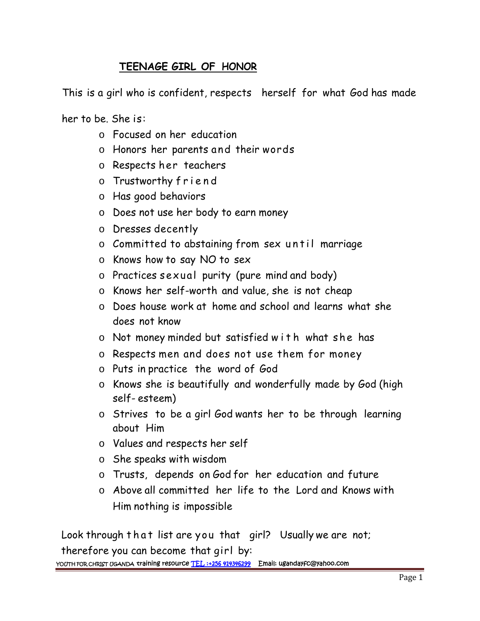## **TEENAGE GIRL OF HONOR**

This is a girl who is confident, respects herself for what God has made

her to be. She is:

- o Focused on her education
- $\circ$  Honors her parents and their words be. She is:<br>
o Focused on her education<br>
o Honors her parents and their words<br>
o Respects her teachers<br>
o Trustworthy friend<br>
o Has good behaviors
- o Respects her teachers
- 
- o Has good behaviors
- o Does not use her body to earn money
- o Dresses decently
- o Trustworthy friend<br>
o Has good behaviors<br>
o Does not use her body to earn money<br>
o Dresses decently<br>
o Committed to abstaining from sex un til marriage
- o Knows how to say NO to sex
- o Practices sexual purity (pure mind and body)
- o Knows her self-worth and value, she is not cheap
- o Does house work at home and school and learns what she does not know o Knows her self-worth and value, she is not cheap<br>
o Does house work at home and school and learns what she<br>
does not know<br>
o Not money minded but satisfied w i t h what she has<br>
o Respects men and does not use them for m
- 
- 
- o Puts in practice the word of God
- o Knows she is beautifully and wonderfully made by God (high self- esteem)
- o Strives to be a girl God wants her to be through learning about Him
- o Values and respects her self
- o She speaks with wisdom
- o Trusts, depends on God for her education and future
- o Above all committed her life to the Lord and Knows with Him nothing is impossible

Look through that list are you that girl? Usually we are not; therefore you can become that girl by: